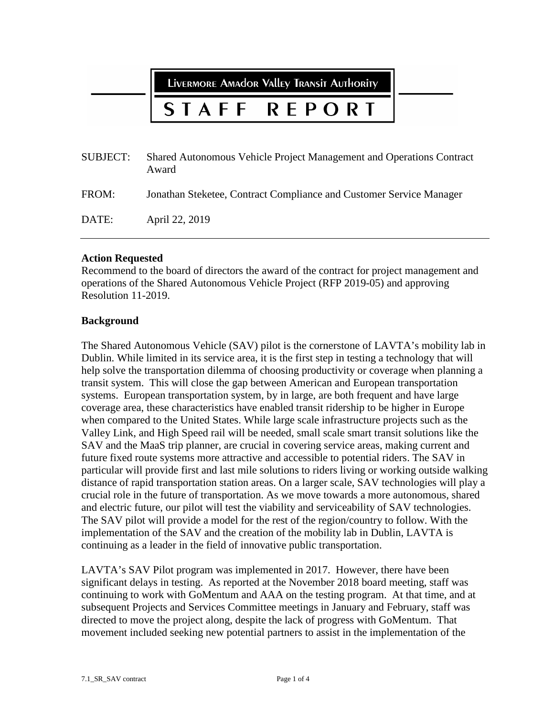LIVERMORE AMAdOR VAllEY TRANSIT AUTHORITY

#### REPORT STAFF

| <b>SUBJECT:</b> | Shared Autonomous Vehicle Project Management and Operations Contract<br>Award |
|-----------------|-------------------------------------------------------------------------------|
| FROM:           | Jonathan Steketee, Contract Compliance and Customer Service Manager           |
| DATE:           | April 22, 2019                                                                |

### **Action Requested**

Recommend to the board of directors the award of the contract for project management and operations of the Shared Autonomous Vehicle Project (RFP 2019-05) and approving Resolution 11-2019.

### **Background**

The Shared Autonomous Vehicle (SAV) pilot is the cornerstone of LAVTA's mobility lab in Dublin. While limited in its service area, it is the first step in testing a technology that will help solve the transportation dilemma of choosing productivity or coverage when planning a transit system. This will close the gap between American and European transportation systems. European transportation system, by in large, are both frequent and have large coverage area, these characteristics have enabled transit ridership to be higher in Europe when compared to the United States. While large scale infrastructure projects such as the Valley Link, and High Speed rail will be needed, small scale smart transit solutions like the SAV and the MaaS trip planner, are crucial in covering service areas, making current and future fixed route systems more attractive and accessible to potential riders. The SAV in particular will provide first and last mile solutions to riders living or working outside walking distance of rapid transportation station areas. On a larger scale, SAV technologies will play a crucial role in the future of transportation. As we move towards a more autonomous, shared and electric future, our pilot will test the viability and serviceability of SAV technologies. The SAV pilot will provide a model for the rest of the region/country to follow. With the implementation of the SAV and the creation of the mobility lab in Dublin, LAVTA is continuing as a leader in the field of innovative public transportation.

LAVTA's SAV Pilot program was implemented in 2017. However, there have been significant delays in testing. As reported at the November 2018 board meeting, staff was continuing to work with GoMentum and AAA on the testing program. At that time, and at subsequent Projects and Services Committee meetings in January and February, staff was directed to move the project along, despite the lack of progress with GoMentum. That movement included seeking new potential partners to assist in the implementation of the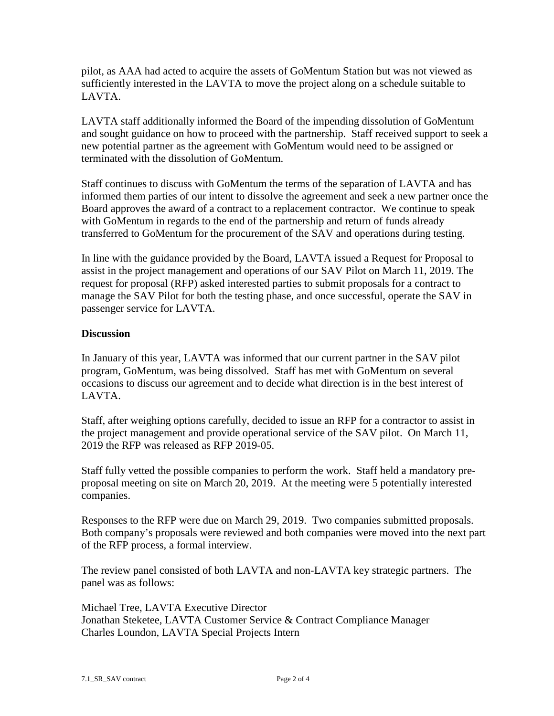pilot, as AAA had acted to acquire the assets of GoMentum Station but was not viewed as sufficiently interested in the LAVTA to move the project along on a schedule suitable to LAVTA.

LAVTA staff additionally informed the Board of the impending dissolution of GoMentum and sought guidance on how to proceed with the partnership. Staff received support to seek a new potential partner as the agreement with GoMentum would need to be assigned or terminated with the dissolution of GoMentum.

Staff continues to discuss with GoMentum the terms of the separation of LAVTA and has informed them parties of our intent to dissolve the agreement and seek a new partner once the Board approves the award of a contract to a replacement contractor. We continue to speak with GoMentum in regards to the end of the partnership and return of funds already transferred to GoMentum for the procurement of the SAV and operations during testing.

In line with the guidance provided by the Board, LAVTA issued a Request for Proposal to assist in the project management and operations of our SAV Pilot on March 11, 2019. The request for proposal (RFP) asked interested parties to submit proposals for a contract to manage the SAV Pilot for both the testing phase, and once successful, operate the SAV in passenger service for LAVTA.

# **Discussion**

In January of this year, LAVTA was informed that our current partner in the SAV pilot program, GoMentum, was being dissolved. Staff has met with GoMentum on several occasions to discuss our agreement and to decide what direction is in the best interest of LAVTA.

Staff, after weighing options carefully, decided to issue an RFP for a contractor to assist in the project management and provide operational service of the SAV pilot. On March 11, 2019 the RFP was released as RFP 2019-05.

Staff fully vetted the possible companies to perform the work. Staff held a mandatory preproposal meeting on site on March 20, 2019. At the meeting were 5 potentially interested companies.

Responses to the RFP were due on March 29, 2019. Two companies submitted proposals. Both company's proposals were reviewed and both companies were moved into the next part of the RFP process, a formal interview.

The review panel consisted of both LAVTA and non-LAVTA key strategic partners. The panel was as follows:

Michael Tree, LAVTA Executive Director Jonathan Steketee, LAVTA Customer Service & Contract Compliance Manager Charles Loundon, LAVTA Special Projects Intern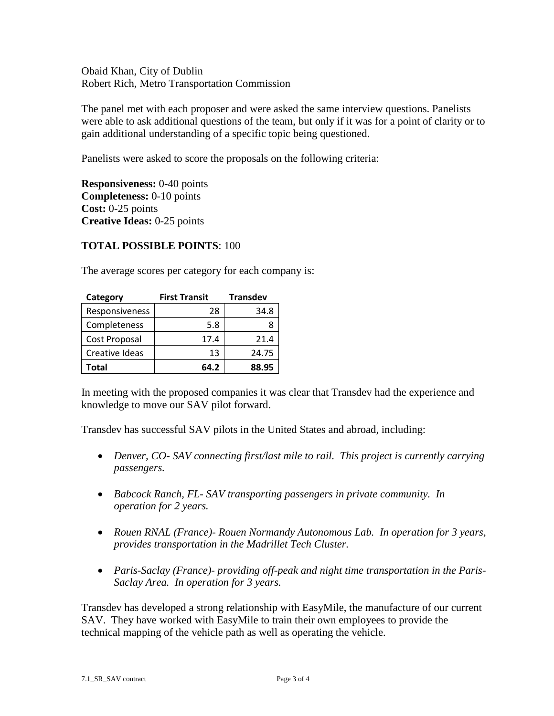Obaid Khan, City of Dublin Robert Rich, Metro Transportation Commission

The panel met with each proposer and were asked the same interview questions. Panelists were able to ask additional questions of the team, but only if it was for a point of clarity or to gain additional understanding of a specific topic being questioned.

Panelists were asked to score the proposals on the following criteria:

**Responsiveness:** 0-40 points **Completeness:** 0-10 points **Cost:** 0-25 points **Creative Ideas:** 0-25 points

# **TOTAL POSSIBLE POINTS**: 100

The average scores per category for each company is:

| Category       | <b>First Transit</b> | <b>Transdev</b> |
|----------------|----------------------|-----------------|
| Responsiveness | 28                   | 34.8            |
| Completeness   | 5.8                  |                 |
| Cost Proposal  | 17.4                 | 21.4            |
| Creative Ideas | 13                   | 24.75           |
| Total          | 64.2                 | 88.95           |

In meeting with the proposed companies it was clear that Transdev had the experience and knowledge to move our SAV pilot forward.

Transdev has successful SAV pilots in the United States and abroad, including:

- *Denver, CO- SAV connecting first/last mile to rail. This project is currently carrying passengers.*
- *Babcock Ranch, FL- SAV transporting passengers in private community. In operation for 2 years.*
- *Rouen RNAL (France)- Rouen Normandy Autonomous Lab. In operation for 3 years, provides transportation in the Madrillet Tech Cluster.*
- *Paris-Saclay (France)- providing off-peak and night time transportation in the Paris-Saclay Area. In operation for 3 years.*

Transdev has developed a strong relationship with EasyMile, the manufacture of our current SAV. They have worked with EasyMile to train their own employees to provide the technical mapping of the vehicle path as well as operating the vehicle.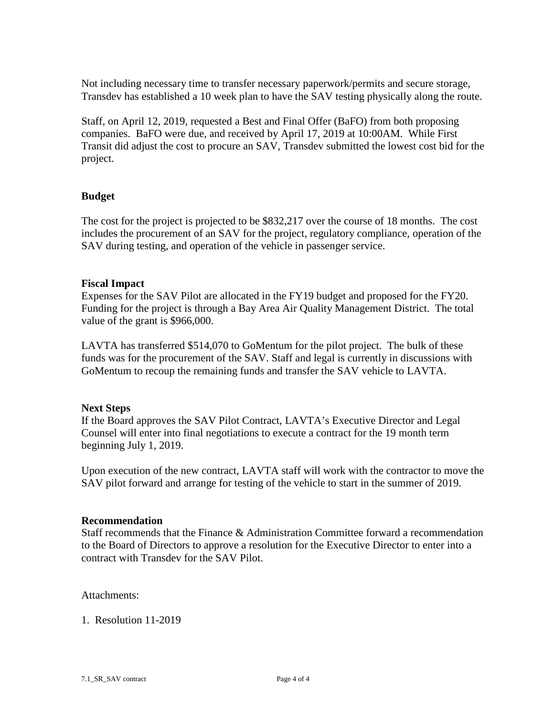Not including necessary time to transfer necessary paperwork/permits and secure storage, Transdev has established a 10 week plan to have the SAV testing physically along the route.

Staff, on April 12, 2019, requested a Best and Final Offer (BaFO) from both proposing companies. BaFO were due, and received by April 17, 2019 at 10:00AM. While First Transit did adjust the cost to procure an SAV, Transdev submitted the lowest cost bid for the project.

### **Budget**

The cost for the project is projected to be \$832,217 over the course of 18 months. The cost includes the procurement of an SAV for the project, regulatory compliance, operation of the SAV during testing, and operation of the vehicle in passenger service.

### **Fiscal Impact**

Expenses for the SAV Pilot are allocated in the FY19 budget and proposed for the FY20. Funding for the project is through a Bay Area Air Quality Management District. The total value of the grant is \$966,000.

LAVTA has transferred \$514,070 to GoMentum for the pilot project. The bulk of these funds was for the procurement of the SAV. Staff and legal is currently in discussions with GoMentum to recoup the remaining funds and transfer the SAV vehicle to LAVTA.

### **Next Steps**

If the Board approves the SAV Pilot Contract, LAVTA's Executive Director and Legal Counsel will enter into final negotiations to execute a contract for the 19 month term beginning July 1, 2019.

Upon execution of the new contract, LAVTA staff will work with the contractor to move the SAV pilot forward and arrange for testing of the vehicle to start in the summer of 2019.

### **Recommendation**

Staff recommends that the Finance & Administration Committee forward a recommendation to the Board of Directors to approve a resolution for the Executive Director to enter into a contract with Transdev for the SAV Pilot.

Attachments:

1. Resolution 11-2019